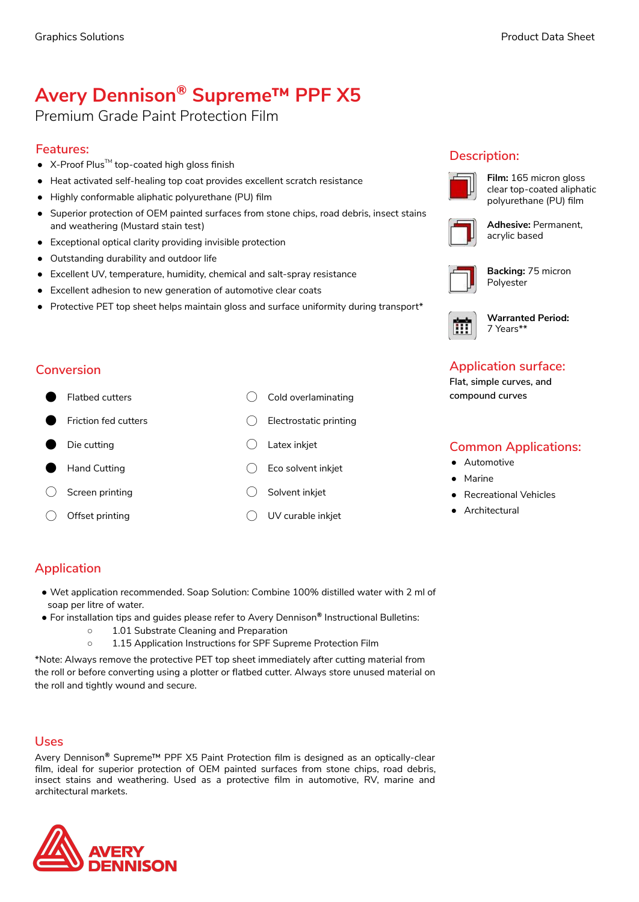# **Avery Dennison® Supreme™ PPF X5**

## Premium Grade Paint Protection Film

## **Features:**

- $\bullet$  X-Proof Plus<sup>™</sup> top-coated high gloss finish
- Heat activated self-healing top coat provides excellent scratch resistance
- Highly conformable aliphatic polyurethane (PU) film
- Superior protection of OEM painted surfaces from stone chips, road debris, insect stains and weathering (Mustard stain test)
- Exceptional optical clarity providing invisible protection
- Outstanding durability and outdoor life
- Excellent UV, temperature, humidity, chemical and salt-spray resistance
- Excellent adhesion to new generation of automotive clear coats
- Protective PET top sheet helps maintain gloss and surface uniformity during transport\*

### **Conversion**

- 
- 
- 
- 
- ◯ Screen printing ◯ Solvent inkjet
- 
- Flatbed cutters 
Cold overlaminating
- Friction fed cutters ◯ Electrostatic printing
- ⬤ Die cutting ◯ Latex inkjet
- Hand Cutting (Fig. 2008) Eco solvent inkjet
	-
- ◯ Offset printing ◯ UV curable inkjet

## **Description:**



**Film:** 165 micron gloss clear top-coated aliphatic polyurethane (PU) film



**Adhesive:** Permanent, acrylic based

**Backing:** 75 micron Polyester

**Warranted Period:** 

7 Years\*\*

## **Application surface:**

**Flat, simple curves, and compound curves**

## **Common Applications:**

- Automotive
- Marine
- **Recreational Vehicles**
- Architectural

## **Application**

- Wet application recommended. Soap Solution: Combine 100% distilled water with 2 ml of soap per litre of water.
- For installation tips and guides please refer to Avery Dennison**®** Instructional Bulletins:
	- 1.01 Substrate Cleaning and Preparation
	- 1.15 Application Instructions for SPF Supreme Protection Film

\*Note: Always remove the protective PET top sheet immediately after cutting material from the roll or before converting using a plotter or flatbed cutter. Always store unused material on the roll and tightly wound and secure.

### **Uses**

Avery Dennison**®** Supreme™ PPF X5 Paint Protection film is designed as an optically-clear film, ideal for superior protection of OEM painted surfaces from stone chips, road debris, insect stains and weathering. Used as a protective film in automotive, RV, marine and architectural markets.